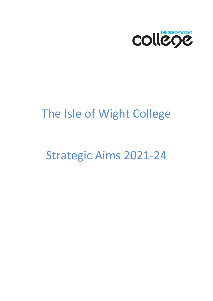

# The Isle of Wight College

# Strategic Aims 2021-24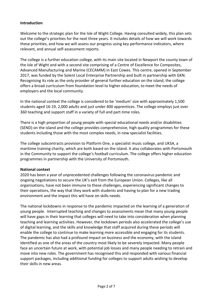#### **Introduction**

Welcome to the strategic plan for the Isle of Wight College. Having consulted widely, this plan sets out the college's priorities for the next three years. It includes details of how we will work towards these priorities, and how we will assess our progress using key performance indicators, where relevant, and annual self-assessment reports.

The college is a further education college, with its main site located in Newport the county town of the Isle of Wight and with a second site comprising of a Centre of Excellence for Composites, Advanced Manufacturing and Marine (CECAMM) in East Cowes. This centre, opened in September 2017, was funded by the Solent Local Enterprise Partnership and built in partnership with GKN. Recognising its role as the only provider of general further education on the island, the college offers a broad curriculum from foundation level to higher education, to meet the needs of employers and the local community.

In the national context the college is considered to be 'medium' size with approximately 1,500 students aged 16-19, 2,000 adults and just under 400 apprentices. The college employs just over 360 teaching and support staff in a variety of full and part-time roles.

There is a high proportion of young people with special educational needs and/or disabilities (SEND) on the island and the college provides comprehensive, high quality programmes for these students including those with the most complex needs, in new specialist facilities.

The college subcontracts provision to Platform One, a specialist music college, and UKSA, a maritime training charity, which are both based on the island. It also collaborates with Portsmouth in the Community to support the college's football curriculum. The college offers higher education programmes in partnership with the University of Portsmouth.

#### **National context**

2020 has been a year of unprecedented challenges following the coronavirus pandemic and ongoing negotiations to secure the UK's exit from the European Union. Colleges, like all organisations, have not been immune to these challenges, experiencing significant changes to their operations, the way that they work with students and having to plan for a new trading environment and the impact this will have on skills needs.

The national lockdowns in response to the pandemic impacted on the learning of a generation of young people. Interrupted teaching and changes to assessments mean that many young people will have gaps in their learning that colleges will need to take into consideration when planning teaching and learning activities. However, the lockdown periods also accelerated the college's use of digital learning, and the skills and knowledge that staff acquired during these periods will enable the college to continue to make learning more accessible and engaging for its students. The pandemic has also had a profound impact on business and the economy, with the island identified as one of the areas of the country most likely to be severely impacted. Many people face an uncertain future at work, with potential job losses and many people needing to retrain and move into new roles. The government has recognised this and responded with various financial support packages, including additional funding for colleges to support adults wishing to develop their skills in new areas.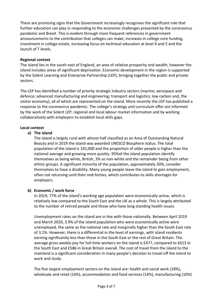There are promising signs that the Government increasingly recognises the significant role that further education can play in responding to the economic challenges presented by the coronavirus pandemic and Brexit. This is evident through more frequent references in government announcements to the contribution that colleges can make, increases in college core funding, investment in college estate, increasing focus on technical education at level 4 and 5 and the launch of T levels.

#### **Regional context**

The island lies in the south east of England, an area of relative prosperity and wealth, however the island includes areas of significant deprivation. Economic development in the region is supported by the Solent Learning and Enterprise Partnership (LEP), bringing together the public and private sectors.

The LEP has identified a number of priority strategic industry sectors (marine; aerospace and defence; advanced manufacturing and engineering; transport and logistics; low carbon and, the visitor economy), all of which are represented on the island. More recently the LEP has published a response to the coronavirus pandemic. The college's strategy and curriculum offer are informed by the work of the Solent LEP, regional and local labour market information and by working collaboratively with employers to establish local skills gaps.

#### **Local context**

#### **a) The island**

The island is largely rural with almost half classified as an Area of Outstanding Natural Beauty and in 2019 the island was awarded UNESCO Biosphere status. The total population of the island is 142,000 and the proportion of older people is higher than the national average and growing more quickly. 95%of the island population identify themselves as being white, British, 3% as non-white and the remainder being from other ethnic groups. A significant minority of the population, approximately 30%, consider themselves to have a disability. Many young people leave the island to gain employment, often not returning until their mid-forties, which contributes to skills shortages for employers.

#### **b) Economic / work force**

In 2019, 77% of the island's working age population were economically active, which is relatively low compared to the South East and the UK as a whole. This is largely attributed to the number of retired people and those who have long standing health issues.

Unemployment rates on the island are in line with those nationally. Between April 2019 and March 2020, 3.9% of the island population who were economically active were unemployed, the same as the national rate and marginally higher than the South East rate of 3.1%. However, there is a differential in the level of earnings, with island residents earning significantly less than those in the South East or the rest of Great Britain. The average gross weekly pay for full-time workers on the island is £477, compared to £613 in the South East and £586 in Great Britain overall. The cost of travel from the island to the mainland is a significant consideration in many people's decision to travel off the island to work and study.

The five largest employment sectors on the island are: health and social work (18%), wholesale and retail (16%), accommodation and food services (14%), manufacturing (10%)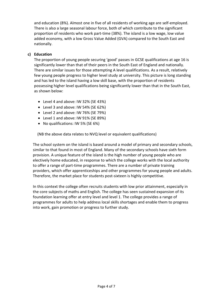and education (8%). Almost one in five of all residents of working age are self-employed. There is also a large seasonal labour force, both of which contribute to the significant proportion of residents who work part-time (38%). The island is a low wage, low value added economy, with a low Gross Value Added (GVA) compared to the South East and nationally.

#### **c) Education**

The proportion of young people securing 'good' passes in GCSE qualifications at age 16 is significantly lower than that of their peers in the South East of England and nationally. There are similar issues for those attempting A level qualifications. As a result, relatively few young people progress to higher level study at university. This picture is long standing and has led to the island having a low skill base, with the proportion of residents possessing higher level qualifications being significantly lower than that in the South East, as shown below:

- Level 4 and above: IW 32% (SE 43%)
- Level 3 and above: IW 54% (SE 62%)
- Level 2 and above: IW 76% (SE 79%)
- Level 1 and above: IW 91% (SE 89%)
- No qualifications: IW 5% (SE 6%)

(NB the above data relates to NVQ level or equivalent qualifications)

The school system on the island is based around a model of primary and secondary schools, similar to that found in most of England. Many of the secondary schools have sixth form provision. A unique feature of the island is the high number of young people who are electively home educated, in response to which the college works with the local authority to offer a range of part-time programmes. There are a number of private training providers, which offer apprenticeships and other programmes for young people and adults. Therefore, the market place for students post-sixteen is highly competitive.

In this context the college often recruits students with low prior attainment, especially in the core subjects of maths and English. The college has seen sustained expansion of its foundation learning offer at entry level and level 1. The college provides a range of programmes for adults to help address local skills shortages and enable them to progress into work, gain promotion or progress to further study.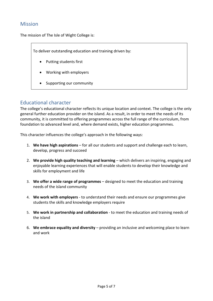## Mission

The mission of The Isle of Wight College is:

To deliver outstanding education and training driven by:

- Putting students first
- Working with employers
- Supporting our community

## Educational character

The college's educational character reflects its unique location and context. The college is the only general further education provider on the island. As a result, in order to meet the needs of its community, it is committed to offering programmes across the full range of the curriculum, from foundation to advanced level and, where demand exists, higher education programmes.

This character influences the college's approach in the following ways:

- 1. **We have high aspirations** for all our students and support and challenge each to learn, develop, progress and succeed
- 2. **We provide high quality teaching and learning** which delivers an inspiring, engaging and enjoyable learning experiences that will enable students to develop their knowledge and skills for employment and life
- 3. **We offer a wide range of programmes** designed to meet the education and training needs of the island community
- 4. **We work with employers** to understand their needs and ensure our programmes give students the skills and knowledge employers require
- 5. **We work in partnership and collaboration** to meet the education and training needs of the island
- 6. **We embrace equality and diversity** providing an inclusive and welcoming place to learn and work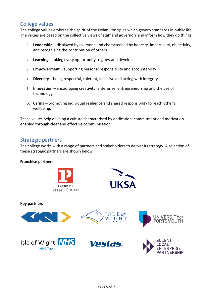## College values

The college values embrace the spirit of the Nolan Principles which govern standards in public life. The values are based on the collective views of staff and governors and inform how they do things.

- 1. **Leadership** displayed by everyone and characterised by honesty, impartiality, objectivity, and recognising the contribution of others
- **2. Learning** taking every opportunity to grow and develop
- 3. **Empowerment** supporting personal responsibility and accountability
- 4. **Diversity** being respectful, tolerant, inclusive and acting with integrity
- 5. **Innovation** encouraging creativity, enterprise, entrepreneurship and the use of technology
- 6. **Caring** promoting individual resilience and shared responsibility for each other's wellbeing.

These values help develop a culture characterised by dedication, commitment and motivation enabled through clear and effective communication.

### Strategic partners

The college works with a range of partners and stakeholders to deliver its strategy. A selection of these strategic partners are shown below.

#### **Franchise partners**





**Key partners**